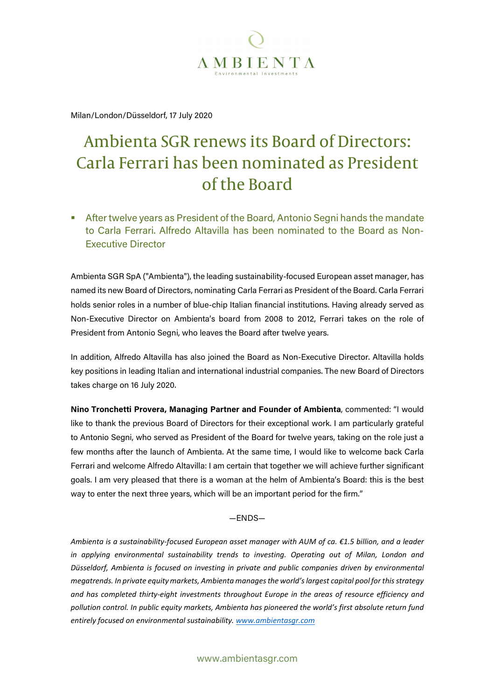

Milan/London/Düsseldorf, 17 July 2020

## Ambienta SGR renews its Board of Directors: Carla Ferrari has been nominated as President of the Board

 After twelve years as President of the Board, Antonio Segni hands the mandate to Carla Ferrari. Alfredo Altavilla has been nominated to the Board as Non-Executive Director

Ambienta SGR SpA ("Ambienta"), the leading sustainability-focused European asset manager, has named its new Board of Directors, nominating Carla Ferrari as President of the Board. Carla Ferrari holds senior roles in a number of blue-chip Italian financial institutions. Having already served as Non-Executive Director on Ambienta's board from 2008 to 2012, Ferrari takes on the role of President from Antonio Segni, who leaves the Board after twelve years.

In addition, Alfredo Altavilla has also joined the Board as Non-Executive Director. Altavilla holds key positions in leading Italian and international industrial companies. The new Board of Directors takes charge on 16 July 2020.

Nino Tronchetti Provera, Managing Partner and Founder of Ambienta, commented: "I would like to thank the previous Board of Directors for their exceptional work. I am particularly grateful to Antonio Segni, who served as President of the Board for twelve years, taking on the role just a few months after the launch of Ambienta. At the same time, I would like to welcome back Carla Ferrari and welcome Alfredo Altavilla: I am certain that together we will achieve further significant goals. I am very pleased that there is a woman at the helm of Ambienta's Board: this is the best way to enter the next three years, which will be an important period for the firm."

—ENDS—

Ambienta is a sustainability-focused European asset manager with AUM of ca. €1.5 billion, and a leader in applying environmental sustainability trends to investing. Operating out of Milan, London and Düsseldorf, Ambienta is focused on investing in private and public companies driven by environmental megatrends. In private equity markets, Ambienta manages the world's largest capital pool for this strategy and has completed thirty-eight investments throughout Europe in the areas of resource efficiency and pollution control. In public equity markets, Ambienta has pioneered the world's first absolute return fund entirely focused on environmental sustainability. www.ambientasgr.com